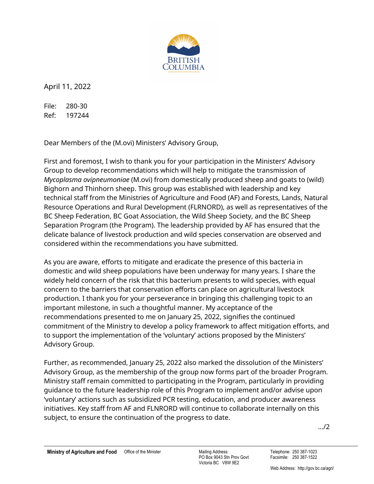

April 11, 2022

File: 280-30 Ref: 197244

Dear Members of the (M.ovi) Ministers' Advisory Group,

First and foremost, I wish to thank you for your participation in the Ministers' Advisory Group to develop recommendations which will help to mitigate the transmission of *Mycoplasma ovipneumoniae* (M.ovi) from domestically produced sheep and goats to (wild) Bighorn and Thinhorn sheep. This group was established with leadership and key technical staff from the Ministries of Agriculture and Food (AF) and Forests, Lands, Natural Resource Operations and Rural Development (FLRNORD), as well as representatives of the BC Sheep Federation, BC Goat Association, the Wild Sheep Society, and the BC Sheep Separation Program (the Program). The leadership provided by AF has ensured that the delicate balance of livestock production and wild species conservation are observed and considered within the recommendations you have submitted.

As you are aware, efforts to mitigate and eradicate the presence of this bacteria in domestic and wild sheep populations have been underway for many years. I share the widely held concern of the risk that this bacterium presents to wild species, with equal concern to the barriers that conservation efforts can place on agricultural livestock production. I thank you for your perseverance in bringing this challenging topic to an important milestone, in such a thoughtful manner. My acceptance of the recommendations presented to me on January 25, 2022, signifies the continued commitment of the Ministry to develop a policy framework to affect mitigation efforts, and to support the implementation of the 'voluntary' actions proposed by the Ministers' Advisory Group.

Further, as recommended, January 25, 2022 also marked the dissolution of the Ministers' Advisory Group, as the membership of the group now forms part of the broader Program. Ministry staff remain committed to participating in the Program, particularly in providing guidance to the future leadership role of this Program to implement and/or advise upon 'voluntary' actions such as subsidized PCR testing, education, and producer awareness initiatives. Key staff from AF and FLNRORD will continue to collaborate internally on this subject, to ensure the continuation of the progress to date.

…/2

PO Box 9043 Stn Prov Govt Victoria BC V8W 9E2

Telephone: 250 387-1023 Facsimile: 250 387-1522